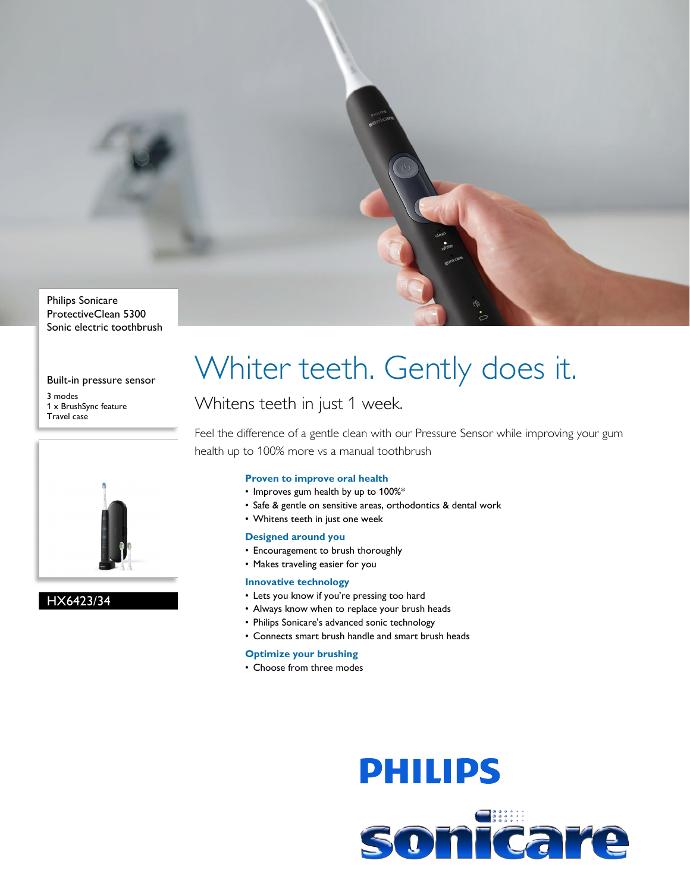

## Sonic electric toothbrush

#### Built-in pressure sensor

3 modes 1 x BrushSync feature Travel case



#### HX6423/34

## Whiter teeth. Gently does it.

### Whitens teeth in just 1 week.

Feel the difference of a gentle clean with our Pressure Sensor while improving your gum health up to 100% more vs a manual toothbrush

#### **Proven to improve oral health**

- Improves gum health by up to 100%\*
- Safe & gentle on sensitive areas, orthodontics & dental work
- Whitens teeth in just one week

#### **Designed around you**

- Encouragement to brush thoroughly
- Makes traveling easier for you

#### **Innovative technology**

- Lets you know if you're pressing too hard
- Always know when to replace your brush heads
- Philips Sonicare's advanced sonic technology
- Connects smart brush handle and smart brush heads

#### **Optimize your brushing**

• Choose from three modes

# **PHILIPS** sonicare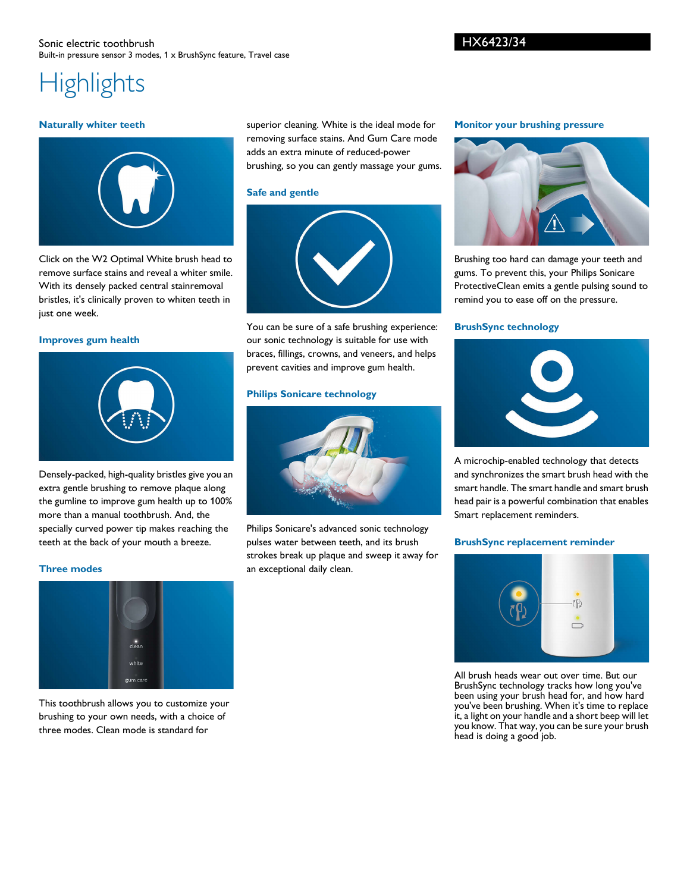#### HX6423/34

## **Highlights**

#### **Naturally whiter teeth**



Click on the W2 Optimal White brush head to remove surface stains and reveal a whiter smile. With its densely packed central stainremoval bristles, it's clinically proven to whiten teeth in just one week.

#### **Improves gum health**



Densely-packed, high-quality bristles give you an extra gentle brushing to remove plaque along the gumline to improve gum health up to 100% more than a manual toothbrush. And, the specially curved power tip makes reaching the teeth at the back of your mouth a breeze.

#### **Three modes**



This toothbrush allows you to customize your brushing to your own needs, with a choice of three modes. Clean mode is standard for

superior cleaning. White is the ideal mode for removing surface stains. And Gum Care mode adds an extra minute of reduced-power brushing, so you can gently massage your gums.

#### **Safe and gentle**



You can be sure of a safe brushing experience: our sonic technology is suitable for use with braces, fillings, crowns, and veneers, and helps prevent cavities and improve gum health.

#### **Philips Sonicare technology**



Philips Sonicare's advanced sonic technology pulses water between teeth, and its brush strokes break up plaque and sweep it away for an exceptional daily clean.

#### **Monitor your brushing pressure**



Brushing too hard can damage your teeth and gums. To prevent this, your Philips Sonicare ProtectiveClean emits a gentle pulsing sound to remind you to ease off on the pressure.

#### **BrushSync technology**



A microchip-enabled technology that detects and synchronizes the smart brush head with the smart handle. The smart handle and smart brush head pair is a powerful combination that enables Smart replacement reminders.

#### **BrushSync replacement reminder**



All brush heads wear out over time. But our BrushSync technology tracks how long you've been using your brush head for, and how hard you've been brushing. When it's time to replace it, a light on your handle and a short beep will let you know. That way, you can be sure your brush head is doing a good job.